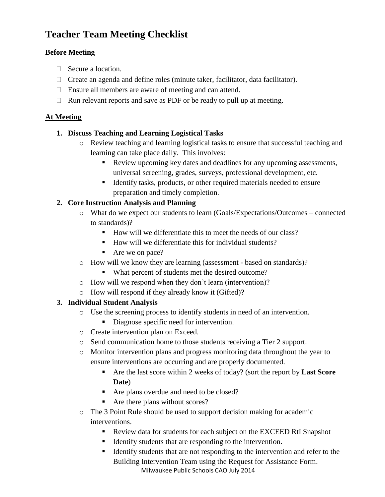# **Teacher Team Meeting Checklist**

## **Before Meeting**

- Secure a location.
- $\Box$  Create an agenda and define roles (minute taker, facilitator, data facilitator).
- □ Ensure all members are aware of meeting and can attend.
- $\Box$  Run relevant reports and save as PDF or be ready to pull up at meeting.

## **At Meeting**

## **1. Discuss Teaching and Learning Logistical Tasks**

- o Review teaching and learning logistical tasks to ensure that successful teaching and learning can take place daily. This involves:
	- Review upcoming key dates and deadlines for any upcoming assessments, universal screening, grades, surveys, professional development, etc.
	- Identify tasks, products, or other required materials needed to ensure preparation and timely completion.

# **2. Core Instruction Analysis and Planning**

- o What do we expect our students to learn (Goals/Expectations/Outcomes connected to standards)?
	- How will we differentiate this to meet the needs of our class?
	- How will we differentiate this for individual students?
	- Are we on pace?
- o How will we know they are learning (assessment based on standards)?
	- What percent of students met the desired outcome?
- o How will we respond when they don't learn (intervention)?
- o How will respond if they already know it (Gifted)?

# **3. Individual Student Analysis**

- o Use the screening process to identify students in need of an intervention.
	- Diagnose specific need for intervention.
- o Create intervention plan on Exceed.
- o Send communication home to those students receiving a Tier 2 support.
- o Monitor intervention plans and progress monitoring data throughout the year to ensure interventions are occurring and are properly documented.
	- Are the last score within 2 weeks of today? (sort the report by **Last Score Date**)
	- Are plans overdue and need to be closed?
	- Are there plans without scores?
- o The 3 Point Rule should be used to support decision making for academic interventions.
	- Review data for students for each subject on the EXCEED RtI Snapshot
	- Identify students that are responding to the intervention.
	- Milwaukee Public Schools CAO July 2014 Identify students that are not responding to the intervention and refer to the Building Intervention Team using the Request for Assistance Form.